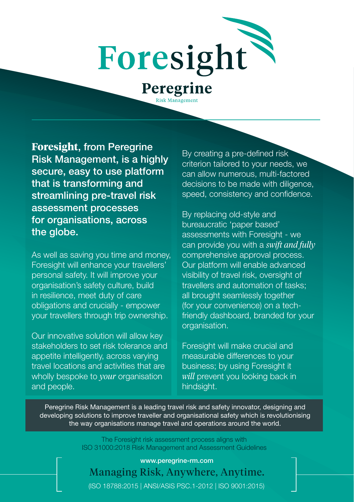

sk Managemer

**Foresight**, from Peregrine Risk Management, is a highly secure, easy to use platform that is transforming and streamlining pre-travel risk assessment processes for organisations, across the globe.

As well as saving you time and money, Foresight will enhance your travellers' personal safety. It will improve your organisation's safety culture, build in resilience, meet duty of care obligations and crucially - empower your travellers through trip ownership.

Our innovative solution will allow key stakeholders to set risk tolerance and appetite intelligently, across varying travel locations and activities that are wholly bespoke to *your* organisation and people.

By creating a pre-defined risk criterion tailored to your needs, we can allow numerous, multi-factored decisions to be made with diligence, speed, consistency and confidence.

By replacing old-style and bureaucratic 'paper based' assessments with Foresight - we can provide you with a *swift and fully* comprehensive approval process. Our platform will enable advanced visibility of travel risk, oversight of travellers and automation of tasks; all brought seamlessly together (for your convenience) on a techfriendly dashboard, branded for your organisation.

Foresight will make crucial and measurable differences to your business; by using Foresight it *will* prevent you looking back in hindsight.

Peregrine Risk Management is a leading travel risk and safety innovator, designing and developing solutions to improve traveller and organisational safety which is revolutionising the way organisations manage travel and operations around the world.

> The Foresight risk assessment process aligns with ISO 31000:2018 Risk Management and Assessment Guidelines

Managing Risk, Anywhere, Anytime. www.peregrine-rm.com (ISO 18788:2015 | ANSI/ASIS PSC.1-2012 | ISO 9001:2015)